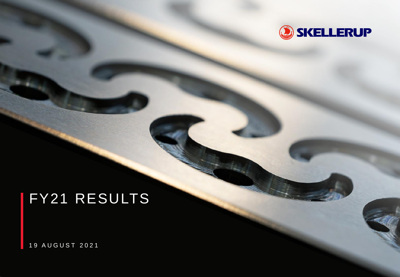

# FY21 RESULTS

1 9 A U G U S T 2 0 2 1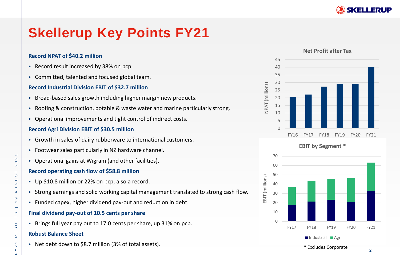

## **Skellerup Key Points FY21**



**Record Industrial Division EBIT of \$32.7 million** • Broad-based sales growth including higher margin new products.

- Roofing & construction, potable & waste water and marine particularly strong.
- Operational improvements and tight control of indirect costs.

### **Record Agri Division EBIT of \$30.5 million**

• Record result increased by 38% on pcp.

• Committed, talented and focused global team.

**Record NPAT of \$40.2 million** 

- Growth in sales of dairy rubberware to international customers.
- Footwear sales particularly in NZ hardware channel.
- Operational gains at Wigram (and other facilities).

### **Record operating cash flow of \$58.8 million**

- Up \$10.8 million or 22% on pcp, also a record.
- Strong earnings and solid working capital management translated to strong cash flow.
- Funded capex, higher dividend pay-out and reduction in debt.

## **Final dividend pay-out of 10.5 cents per share**

• Brings full year pay out to 17.0 cents per share, up 31% on pcp.

## **Robust Balance Sheet**

• Net debt down to \$8.7 million (3% of total assets).



### **EBIT by Segment \***

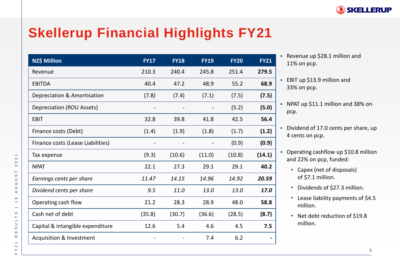

## **Skellerup Financial Highlights FY21**

| NZ\$ Million                        | <b>FY17</b> | <b>FY18</b> | <b>FY19</b> | <b>FY20</b> | <b>FY21</b> |
|-------------------------------------|-------------|-------------|-------------|-------------|-------------|
| Revenue                             | 210.3       | 240.4       | 245.8       | 251.4       | 279.5       |
| <b>EBITDA</b>                       | 40.4        | 47.2        | 48.9        | 55.2        | 68.9        |
| Depreciation & Amortisation         | (7.8)       | (7.4)       | (7.1)       | (7.5)       | (7.5)       |
| Depreciation (ROU Assets)           |             |             |             | (5.2)       | (5.0)       |
| <b>EBIT</b>                         | 32.8        | 39.8        | 41.8        | 42.5        | 56.4        |
| Finance costs (Debt)                | (1.4)       | (1.9)       | (1.8)       | (1.7)       | (1.2)       |
| Finance costs (Lease Liabilities)   |             |             |             | (0.9)       | (0.9)       |
| Tax expense                         | (9.3)       | (10.6)      | (11.0)      | (10.8)      | (14.1)      |
| <b>NPAT</b>                         | 22.1        | 27.3        | 29.1        | 29.1        | 40.2        |
| Earnings cents per share            | 11.47       | 14.15       | 14.96       | 14.92       | 20.59       |
| Dividend cents per share            | 9.5         | 11.0        | 13.0        | 13.0        | 17.0        |
| Operating cash flow                 | 21.2        | 28.3        | 28.9        | 48.0        | 58.8        |
| Cash net of debt                    | (35.8)      | (30.7)      | (36.6)      | (28.5)      | (8.7)       |
| Capital & intangible expenditure    | 12.6        | 5.4         | 4.6         | 4.5         | 7.5         |
| <b>Acquisition &amp; Investment</b> |             |             | 7.4         | 6.2         |             |

• Revenue up \$28.1 million and 11% on pcp.

• EBIT up \$13.9 million and 33% on pcp.

- NPAT up \$11.1 million and 38% on pcp.
- Dividend of 17.0 cents per share, up 4 cents on pcp.
- Operating cashflow up \$10.8 million and 22% on pcp, funded:
	- Capex (net of disposals) of \$7.1 million.
	- Dividends of \$27.3 million.
	- Lease liability payments of \$4.5 million.
	- Net debt reduction of \$19.8 million.

 $\overline{\phantom{0}}$  $\mathbf{\alpha}$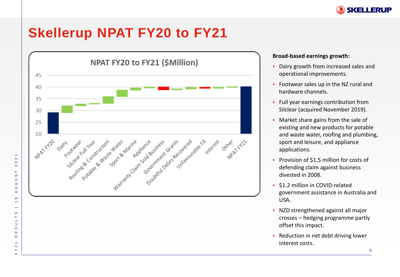

## **Skellerup NPAT FY20 to FY21**



### **Broad-based earnings growth:**

- Dairy growth from increased sales and operational improvements.
- Footwear sales up in the NZ rural and hardware channels.
- Full year earnings contribution from Silclear (acquired November 2019).
- Market share gains from the sale of existing and new products for potable and waste water, roofing and plumbing, sport and leisure, and appliance applications.
- Provision of \$1.5 million for costs of defending claim against business divested in 2008.
- \$1.2 million in COVID-related government assistance in Australia and USA.
- NZD strengthened against all major crosses – hedging programme partly offset this impact.
- Reduction in net debt driving lower interest costs.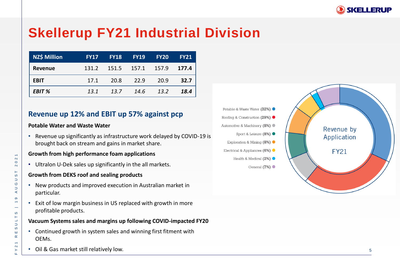

## **Skellerup FY21 Industrial Division**

| <b>NZ\$ Million</b> | <b>FY17</b> | <b>FY18</b> | <b>FY19</b> | <b>FY20</b> | <b>FY21</b> |
|---------------------|-------------|-------------|-------------|-------------|-------------|
| Revenue             | 131.2       | 151.5       | 157.1 157.9 |             | 177.4       |
| <b>EBIT</b>         | 17.1        | 20.8        | 22.9        | 20.9        | 32.7        |
| EBIT %              | 13.1        | 13.7        | 14.6        | 13.2        | 18.4        |

### **Revenue up 12% and EBIT up 57% against pcp**

### **Potable Water and Waste Water**

F Y 2 1 R E S U L T S | 1 9 A U G U S T 2 0 2 1

S Н  $\Box$  $\supset$  $\boldsymbol{\omega}$ ш  $\propto$  $\leftarrow$  $\mathbf{\Omega}$  $\succ$ 

 $\overline{\phantom{0}}$ 

 $\mathbf{\alpha}$  $\circ$  $\boldsymbol{\sim}$ 

 $\vdash$  $\omega$  $\Box$  $\circ$  $\cup$  $\prec$  $\sigma$  $\leftarrow$ 

• Revenue up significantly as infrastructure work delayed by COVID -19 is brought back on stream and gains in market share.

#### **Growth from high performance foam applications**

• Ultralon U-Dek sales up significantly in the all markets.

#### **Growth from DEKS roof and sealing products**

- New products and improved execution in Australian market in particular.
- Exit of low margin business in US replaced with growth in more profitable products.

### **Vacuum Systems sales and margins up following COVID -impacted FY20**

- Continued growth in system sales and winning first fitment with OEMs.
- Oil & Gas market still relatively low.

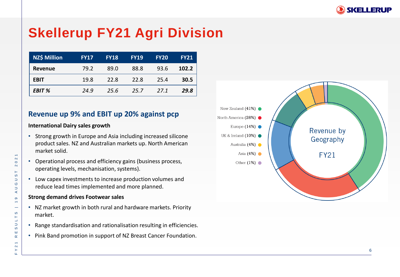

## **Skellerup FY21 Agri Division**

| <b>NZ\$ Million</b> | <b>FY17</b> | <b>FY18</b> | <b>FY19</b> | <b>FY20</b> | <b>FY21</b> |
|---------------------|-------------|-------------|-------------|-------------|-------------|
| Revenue             | 79.2        | 89.0        | 88.8        | 93.6        | 102.2       |
| <b>EBIT</b>         | 19.8        | 22.8        | 22.8        | 25.4        | 30.5        |
| <b>EBIT %</b>       | 24.9        | 25.6        | 25.7        | 27.1        | 29.8        |

## **Revenue up 9% and EBIT up 20% against pcp**

#### **International Dairy sales growth**

- Strong growth in Europe and Asia including increased silicone product sales. NZ and Australian markets up. North American market solid.
- Operational process and efficiency gains (business process, operating levels, mechanisation, systems).
- Low capex investments to increase production volumes and reduce lead times implemented and more planned.

#### **Strong demand drives Footwear sales**

- NZ market growth in both rural and hardware markets. Priority market.
- Range standardisation and rationalisation resulting in efficiencies.
- Pink Band promotion in support of NZ Breast Cancer Foundation.

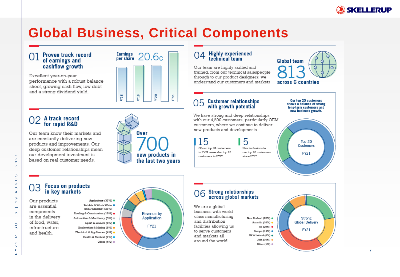

## **Global Business, Critical Components**

 $Y20$ 

FY21

#### Proven track record 01 of earnings and cashflow growth

Excellent year-on-year performance with a robust balance sheet, growing cash flow, low debt and a strong dividend yield.

## A track record<br>for rapid R&D

Our team know their markets and are constantly delivering new products and improvements. Our deep customer relationships mean our development investment is based on real customer needs.



Earnings  $20.6c$ 

 $51\lambda$ 

PT18

## 04 Highly experienced<br>technical team

Our team are highly skilled and trained, from our technical salespeople through to our product designers; we understand our customers and markets

#### **Customer relationships** 05 with growth potential

We have strong and deep relationships with our 4,500 customers, particularly OEM customers, where we continue to deliver new products and developments.

15 5 Of our top 20 customers New inclusions to in FY21 were also top 20 our top 20 customers customers in FY17. since FY17.

Our top 20 customers shows a balance of strong

**Global team** 

across 6 countries

long-term customers and new business growth.

Top  $20$ Customers **FY21** 

#### **Focus on products** 03 in key markets

Our products are essential components in the delivery of food, water. infrastructure and health.

Agriculture (37%) · Potable & Waste Water . (incl Plumbing) (21%) Roofing & Construction (18%) . Automotive & Machinery (5%) @ Sport & Leisure (5%) . Exploration & Mining (5%) . Electrical & Appliances (4%) . Health & Medical (1%) . Other  $(4%) =$ 



#### Strong relationships<br>across global markets 06

We are a global business with worldclass manufacturing and distribution facilities allowing us to serve customers and markets all around the world.



Other  $(1%) =$ 

 $\overline{ }$ 

 $\mathbf{\alpha}$ 

 $\circ$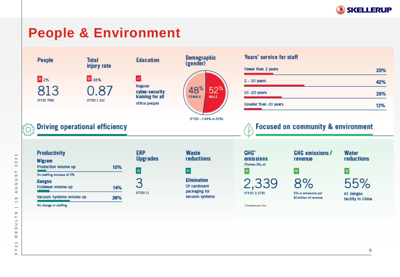

## **People & Environment**



 $\overline{\phantom{0}}$ 

 $\sim$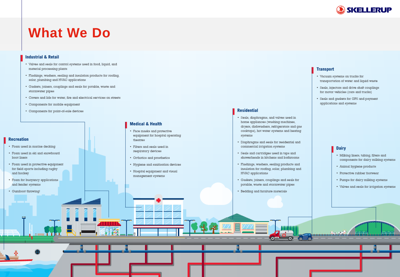

## **What We Do**

#### **Industrial & Retail**

- Valves and seals for control systems used in food, liquid, and material processing plants
- · Flashings, washers, sealing and insulation products for roofing, solar, plumbing and HVAC applications
- Gaskets, joiners, couplings and seals for potable, waste and stormwater pipes
- Covers and lids for water, fire and electrical services on streets
- Components for mobile equipment
- Components for point-of-sale devices

#### **Recreation**

- · Foam used in marine decking
- Foam used in ski and snowboard boot liners
- · Foam used in protective equipment for field sports including rugby and hockey
- Foam for buoyancy applications and fender systems
- Gumboot throwing!

#### **Medical & Health**

- Face masks and protective equipment for hospital operating theatres
- Filters and seals used in respiratory devices
- Orthotics and prosthetics
- Hygiene and sanitisation devices
- Hospital equipment and visual management systems

#### **Transport**

**Residential** 

systems

· Seals, diaphragms, and valves used in home appliances (washing machines,

dryers, dishwashers, refrigerators and gas cooktops), hot water systems and heating

• Diaphragms and seals for residential and

showerheads in kitchens and bathrooms

· Flashings, washers, sealing products and

• Gaskets, joiners, couplings and seals for

potable, waste and stormwater pipes

• Bedding and furniture materials

insulation for roofing, solar, plumbing and

**Official** 

• Seals and cartridges used in taps and

commercial irrigation systems

HVAC applications

- Vacuum systems on trucks for transportation of water and liquid waste
- · Seals, injectors and drive shaft couplings for motor vehicles (cars and trucks)
- Seals and gaskets for GPS and payment applications and systems

- **Dairy**
- Milking liners, tubing, filters and components for dairy milking systems
- · Animal hygiene products
- Protective rubber footwear
- Pumps for dairy milking systems
- Valves and seals for irrigation systems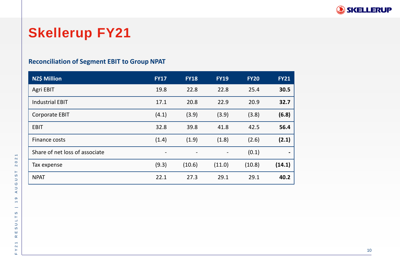

## **Skellerup FY21**

## **Reconciliation of Segment EBIT to Group NPAT**

| <b>NZ\$ Million</b>            | <b>FY17</b>              | <b>FY18</b>              | <b>FY19</b>    | <b>FY20</b> | <b>FY21</b>    |
|--------------------------------|--------------------------|--------------------------|----------------|-------------|----------------|
| Agri EBIT                      | 19.8                     | 22.8                     | 22.8           | 25.4        | 30.5           |
| <b>Industrial EBIT</b>         | 17.1                     | 20.8                     | 22.9           | 20.9        | 32.7           |
| <b>Corporate EBIT</b>          | (4.1)                    | (3.9)                    | (3.9)          | (3.8)       | (6.8)          |
| <b>EBIT</b>                    | 32.8                     | 39.8                     | 41.8           | 42.5        | 56.4           |
| Finance costs                  | (1.4)                    | (1.9)                    | (1.8)          | (2.6)       | (2.1)          |
| Share of net loss of associate | $\overline{\phantom{a}}$ | $\overline{\phantom{a}}$ | $\blacksquare$ | (0.1)       | $\blacksquare$ |
| Tax expense                    | (9.3)                    | (10.6)                   | (11.0)         | (10.8)      | (14.1)         |
| <b>NPAT</b>                    | 22.1                     | 27.3                     | 29.1           | 29.1        | 40.2           |

 $\overline{\phantom{0}}$